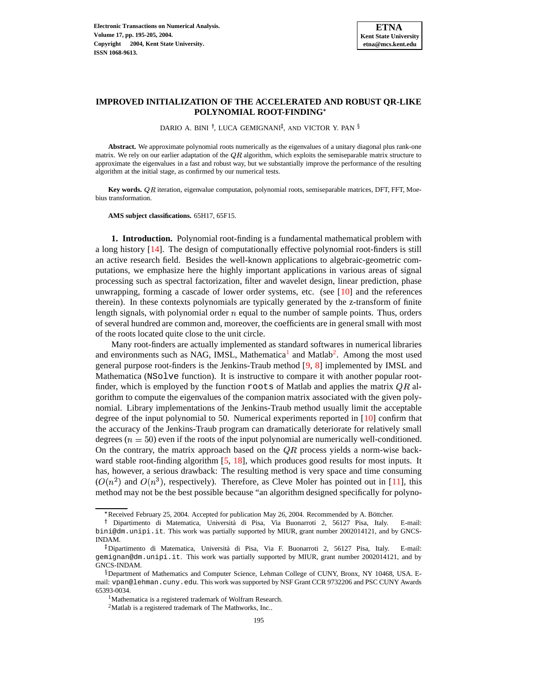

# **IMPROVED INITIALIZATION OF THE ACCELERATED AND ROBUST QR-LIKE POLYNOMIAL ROOT-FINDING**

DARIO A. BINI <sup>†</sup>, LUCA GEMIGNANI<sup>‡</sup>, AND VICTOR Y. PAN <sup>§</sup>

**Abstract.** We approximate polynomial roots numerically as the eigenvalues of a unitary diagonal plus rank-one matrix. We rely on our earlier adaptation of the  $QR$  algorithm, which exploits the semiseparable matrix structure to approximate the eigenvalues in a fast and robust way, but we substantially improve the performance of the resulting algorithm at the initial stage, as confirmed by our numerical tests.

Key words. *QR* iteration, eigenvalue computation, polynomial roots, semiseparable matrices, DFT, FFT, Moebius transformation.

**AMS subject classifications.** 65H17, 65F15.

**1. Introduction.** Polynomial root-finding is a fundamental mathematical problem with a long history [\[14\]](#page-8-0). The design of computationally effective polynomial root-finders is still an active research field. Besides the well-known applications to algebraic-geometric computations, we emphasize here the highly important applications in various areas of signal processing such as spectral factorization, filter and wavelet design, linear prediction, phase unwrapping, forming a cascade of lower order systems, etc. (see [\[10\]](#page-8-1) and the references therein). In these contexts polynomials are typically generated by the z-transform of finite length signals, with polynomial order  $n$  equal to the number of sample points. Thus, orders of several hundred are common and, moreover, the coefficients are in general small with most of the roots located quite close to the unit circle.

Many root-finders are actually implemented as standard softwares in numerical libraries and environments such as NAG, IMSL, Mathematica<sup>[1](#page-0-0)</sup> and Matlab<sup>[2](#page-0-1)</sup>. Among the most used general purpose root-finders is the Jenkins-Traub method [\[9,](#page-8-2) [8\]](#page-8-3) implemented by IMSL and Mathematica (NSolve function). It is instructive to compare it with another popular rootfinder, which is employed by the function roots of Matlab and applies the matrix  $QR$  algorithm to compute the eigenvalues of the companion matrix associated with the given polynomial. Library implementations of the Jenkins-Traub method usually limit the acceptable degree of the input polynomial to 50. Numerical experiments reported in [\[10\]](#page-8-1) confirm that the accuracy of the Jenkins-Traub program can dramatically deteriorate for relatively small degrees ( $n = 50$ ) even if the roots of the input polynomial are numerically well-conditioned. On the contrary, the matrix approach based on the  $QR$  process yields a norm-wise back-ward stable root-finding algorithm [\[5,](#page-8-4) [18\]](#page-10-0), which produces good results for most inputs. It has, however, a serious drawback: The resulting method is very space and time consuming  $(O(n^2)$  and  $O(n^3)$ , respectively). Therefore, as Cleve Moler has pointed out in [\[11\]](#page-8-5), this method may not be the best possible because "an algorithm designed specifically for polyno-

Received February 25, 2004. Accepted for publication May 26, 2004. Recommended by A. Böttcher.

<sup>&</sup>lt;sup>†</sup> Dipartimento di Matematica, Università di Pisa, Via Buonarroti 2, 56127 Pisa, Italy. E-mail: bini@dm.unipi.it. This work was partially supported by MIUR, grant number 2002014121, and by GNCS-INDAM.

<sup>-</sup> Dipartimento di Matematica, Universita` di Pisa, Via F. Buonarroti 2, 56127 Pisa, Italy. E-mail: gemignan@dm.unipi.it. This work was partially supported by MIUR, grant number 2002014121, and by GNCS-INDAM.

<span id="page-0-1"></span><span id="page-0-0"></span> $$$ Department of Mathematics and Computer Science, Lehman College of CUNY, Bronx, NY 10468, USA. Email: vpan@lehman.cuny.edu. This work was supported by NSF Grant CCR 9732206 and PSC CUNY Awards 65393-0034.

<sup>&</sup>lt;sup>1</sup>Mathematica is a registered trademark of Wolfram Research.

<sup>2</sup>Matlab is a registered trademark of The Mathworks, Inc..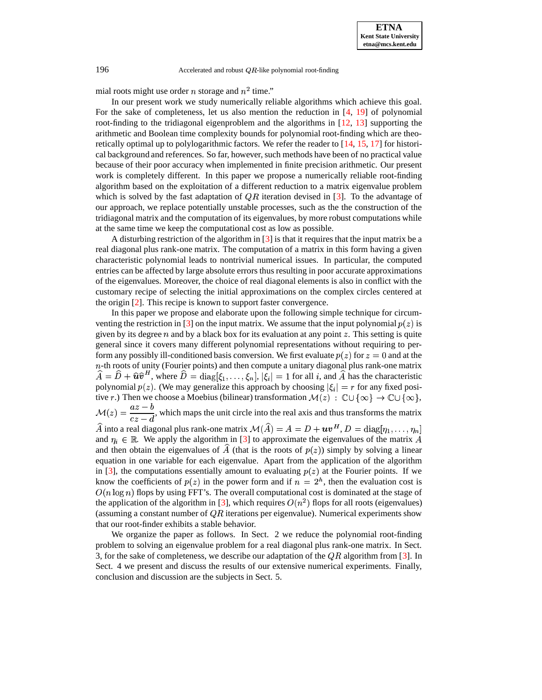196  $\triangle$  Accelerated and robust QR-like polynomial root-finding

mial roots might use order *n* storage and  $n<sup>2</sup>$  time."

In our present work we study numerically reliable algorithms which achieve this goal. For the sake of completeness, let us also mention the reduction in [\[4,](#page-8-6) [19\]](#page-10-1) of polynomial root-finding to the tridiagonal eigenproblem and the algorithms in [\[12,](#page-8-7) [13\]](#page-8-8) supporting the arithmetic and Boolean time complexity bounds for polynomial root-finding which are theoretically optimal up to polylogarithmic factors. We refer the reader to [\[14,](#page-8-0) [15,](#page-8-9) [17\]](#page-8-10) for historical background and references. So far, however, such methods have been of no practical value because of their poor accuracy when implemented in finite precision arithmetic. Our present work is completely different. In this paper we propose a numerically reliable root-finding algorithm based on the exploitation of a different reduction to a matrix eigenvalue problem which is solved by the fast adaptation of  $QR$  iteration devised in [\[3\]](#page-8-11). To the advantage of our approach, we replace potentially unstable processes, such as the the construction of the tridiagonal matrix and the computation of its eigenvalues, by more robust computations while at the same time we keep the computational cost as low as possible.

A disturbing restriction of the algorithm in  $\lceil 3 \rceil$  is that it requires that the input matrix be a real diagonal plus rank-one matrix. The computation of a matrix in this form having a given characteristic polynomial leads to nontrivial numerical issues. In particular, the computed entries can be affected by large absolute errors thus resulting in poor accurate approximations of the eigenvalues. Moreover, the choice of real diagonal elements is also in conflict with the customary recipe of selecting the initial approximations on the complex circles centered at the origin [\[2\]](#page-8-12). This recipe is known to support faster convergence.

In this paper we propose and elaborate upon the following simple technique for circum-venting the restriction in [\[3\]](#page-8-11) on the input matrix. We assume that the input polynomial  $p(z)$  is given by its degree  $n$  and by a black box for its evaluation at any point  $z$ . This setting is quite general since it covers many different polynomial representations without requiring to perform any possibly ill-conditioned basis conversion. We first evaluate  $p(z)$  for  $z = 0$  and at the  $n$ -th roots of unity (Fourier points) and then compute a unitary diagonal plus rank-one matrix  $\widehat{A} = \widehat{D} + \widehat{u}\widehat{v}^H$ , where  $\widehat{D} = \text{diag}[\xi_1,\ldots,\xi_n], |\xi_i| = 1$  for all i, and  $\widehat{A}$  has the characteristic polynomial  $p(z)$ . (We may generalize this approach by choosing  $|\xi_i| = r$  for any fixed positive  $r$ .) Then we choose a Moebius (bilinear) transformation  $\mathcal{M}(z)$  :  $\mathbb{C}\cup\{\infty\} \to \mathbb{C}\cup\{\infty\}$ ,  $\mathcal{M}(z) = \frac{z}{z-1}$ , which  $\frac{dz}{dz} = \frac{dz}{dt}$ , which maps the unit circle into the real axis and thus transforms the matrix  $\widehat{A}$  into a real diagonal plus rank-one matrix  $\mathcal{M}(\widehat{A})=A=D+\boldsymbol{u}\boldsymbol{v}^H$ ,  $D=\text{diag}[\eta_1,\ldots,\eta_n]$ and  $\eta_i \in \mathbb{R}$ . We apply the algorithm in [\[3\]](#page-8-11) to approximate the eigenvalues of the matrix A and then obtain the eigenvalues of  $\hat{A}$  (that is the roots of  $p(z)$ ) simply by solving a linear equation in one variable for each eigenvalue. Apart from the application of the algorithm in [\[3\]](#page-8-11), the computations essentially amount to evaluating  $p(z)$  at the Fourier points. If we know the coefficients of  $p(z)$  in the power form and if  $n = 2<sup>h</sup>$ , then the evaluation cost is  $O(n \log n)$  flops by using FFT's. The overall computational cost is dominated at the stage of the application of the algorithm in [\[3\]](#page-8-11), which requires  $O(n^2)$  flops for all roots (eigenvalues) (assuming a constant number of  $QR$  iterations per eigenvalue). Numerical experiments show that our root-finder exhibits a stable behavior.

<span id="page-1-0"></span>We organize the paper as follows. In Sect. 2 we reduce the polynomial root-finding problem to solving an eigenvalue problem for a real diagonal plus rank-one matrix. In Sect. 3, for the sake of completeness, we describe our adaptation of the  $QR$  algorithm from [\[3\]](#page-8-11). In Sect. 4 we present and discuss the results of our extensive numerical experiments. Finally, conclusion and discussion are the subjects in Sect. 5.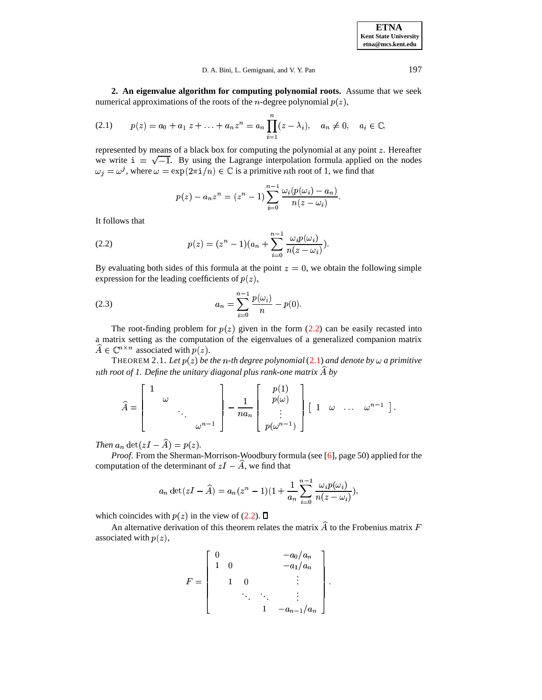**ETNA Kent State University etna@mcs.kent.edu**

<span id="page-2-1"></span>D. A. Bini, L. Gemignani, and V. Y. Pan 197

**2. An eigenvalue algorithm for computing polynomial roots.** Assume that we seek numerical approximations of the roots of the *n*-degree polynomial  $p(z)$ ,

$$
(2.1) \t p(z) = a_0 + a_1 z + \ldots + a_n z^n = a_n \prod_{i=1}^n (z - \lambda_i), \quad a_n \neq 0, \quad a_i \in \mathbb{C},
$$

represented by means of a black box for computing the polynomial at any point  $z$ . Hereafter we write  $\mathbf{i} = \sqrt{-1}$ . By using the Lagrange interpolation formula applied on the nodes  $\omega_i = \omega^j$ , where  $\omega = \exp(2\pi i/n) \in \mathbb{C}$  is a primitive nth root of 1, we find that

<span id="page-2-3"></span>
$$
p(z)-a_nz^n=(z^n-1)\sum_{i=0}^{n-1}\frac{\omega_i(p(\omega_i)-a_n)}{n(z-\omega_i)}.
$$

<span id="page-2-0"></span>It follows that

(2.2) 
$$
p(z) = (z^{n} - 1)(a_{n} + \sum_{i=0}^{n-1} \frac{\omega_{i} p(\omega_{i})}{n(z - \omega_{i})}).
$$

By evaluating both sides of this formula at the point  $z = 0$ , we obtain the following simple expression for the leading coefficients of  $p(z)$ ,

(2.3) 
$$
a_n = \sum_{i=0}^{n-1} \frac{p(\omega_i)}{n} - p(0).
$$

The root-finding problem for  $p(z)$  given in the form [\(2.2\)](#page-2-0) can be easily recasted into amatrix setting as the computation of the eigenvalues of a generalized companion matrix  $A \in \mathbb{C}^{n \times n}$  associated with  $p(z)$ .

<span id="page-2-2"></span>THEOREM 2.1. Let  $p(z)$  be the n-th degree polynomial [\(2.1\)](#page-2-1) and denote by  $\omega$  a primitive *th root of 1. Define the unitary diagonal plus rank-one matrix by*

$$
\widehat{A} = \begin{bmatrix} 1 & & & \\ & \omega & & \\ & & \ddots & \\ & & & \omega^{n-1} \end{bmatrix} - \frac{1}{na_n} \begin{bmatrix} p(1) \\ p(\omega) \\ \vdots \\ p(\omega^{n-1}) \end{bmatrix} \begin{bmatrix} 1 & \omega & \dots & \omega^{n-1} \end{bmatrix}.
$$

*Then*  $a_n \det(zI - \widehat{A}) = p(z)$ .

*Proof.* From the Sherman-Morrison-Woodbury formula (see [\[6\]](#page-8-13), page 50) applied for the computation of the determinant of  $zI - \widehat{A}$ , we find that

$$
a_n \det(zI - \widehat{A}) = a_n(z^n - 1)(1 + \frac{1}{a_n} \sum_{i=0}^{n-1} \frac{\omega_i p(\omega_i)}{n(z - \omega_i)}),
$$

which coincides with  $p(z)$  in the view of [\(2.2\)](#page-2-0).

An alternative derivation of this theorem relates the matrix  $\hat{A}$  to the Frobenius matrix F associated with  $p(z)$ ,

$$
F = \begin{bmatrix} 0 & & & & -a_0/a_n \\ 1 & 0 & & & & -a_1/a_n \\ & 1 & 0 & & & \vdots \\ & & \ddots & \ddots & & \vdots \\ & & & 1 & -a_{n-1}/a_n \end{bmatrix}.
$$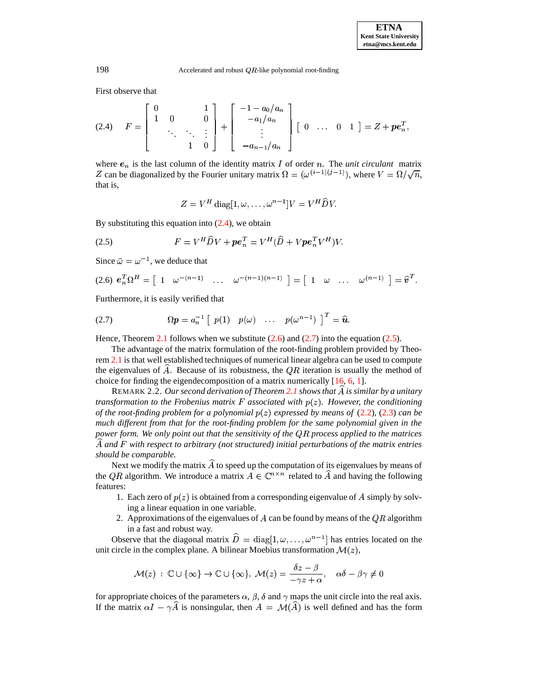198  $\triangle$  Accelerated and robust QR-like polynomial root-finding

First observe that

$$
(2.4) \tF = \begin{bmatrix} 0 & 1 \\ 1 & 0 & 0 \\ & \ddots & \ddots & \vdots \\ & & 1 & 0 \end{bmatrix} + \begin{bmatrix} -1 - a_0/a_n \\ -a_1/a_n \\ \vdots \\ -a_{n-1}/a_n \end{bmatrix} [0 \t \dots \t 0 \t 1] = Z + \boldsymbol{pe}_n^T,
$$

where  $e_n$  is the last column of the identity matrix I of order n. The *unit circulant* matrix Z can be diagonalized by the Fourier unitary matrix  $\Omega = (\omega^{(i-1)(j-1)})$ , where  $V = \Omega/\sqrt{n}$ , that is,

<span id="page-3-3"></span>
$$
Z = V^H \operatorname{diag}[1, \omega, \dots, \omega^{n-1}]V = V^H \widehat{D} V.
$$

By substituting this equation into  $(2.4)$ , we obtain

<span id="page-3-1"></span>(2.5) 
$$
F = V^H \hat{D} V + \boldsymbol{p} \boldsymbol{e}_n^T = V^H (\hat{D} + V \boldsymbol{p} \boldsymbol{e}_n^T V^H) V.
$$

Since  $\bar{\omega} = \omega^{-1}$ , we deduce that

<span id="page-3-2"></span>
$$
(2.6) \ e_n^T \Omega^H = \left[ \begin{array}{cccc} 1 & \omega^{-(n-1)} & \ldots & \omega^{-(n-1)(n-1)} \end{array} \right] = \left[ \begin{array}{cccc} 1 & \omega & \ldots & \omega^{(n-1)} \end{array} \right] = \widehat{v}^T.
$$

Furthermore, it is easily verified that

(2.7) 
$$
\Omega p = a_n^{-1} \left[ p(1) p(\omega) \dots p(\omega^{n-1}) \right]^T = \widehat{u}.
$$

Hence, Theorem [2.1](#page-2-2) follows when we substitute  $(2.6)$  and  $(2.7)$  into the equation [\(2.5\)](#page-3-3).

The advantage of the matrix formulation of the root-finding problem provided by Theorem [2.1](#page-2-2) is that well established techniques of numerical linear algebra can be used to compute the eigenvalues of  $\hat{A}$ . Because of its robustness, the  $QR$  iteration is usually the method of choice for finding the eigendecomposition of a matrix numerically [\[16,](#page-8-14) [6,](#page-8-13) [1\]](#page-8-15).

REMARK 2.2. *Our second derivation of Theorem [2.1](#page-2-2) shows that is similar by a unitary transformation to the Frobenius matrix*  $F$  *associated with*  $p(z)$ *. However, the conditioning of the root-finding problem for a polynomial* - *expressed by means of* [\(2.2\)](#page-2-0)*,* [\(2.3\)](#page-2-3) *can be much different from that for the root-finding problem for the same polynomial given in the power form. We only point out that the sensitivity of the process applied to the matrices and* . *with respect to arbitrary (not structured) initial perturbations of the matrix entries should be comparable.*

Next we modify the matrix  $\widehat{A}$  to speed up the computation of its eigenvalues by means of the QR algorithm. We introduce a matrix  $\hat{A} \in \mathbb{C}^{n \times n}$  related to  $\hat{A}$  and having the following features:

- 1. Each zero of  $p(z)$  is obtained from a corresponding eigenvalue of A simply by solving a linear equation in one variable.
- 2. Approximations of the eigenvalues of A can be found by means of the  $\overline{QR}$  algorithm in a fast and robust way.

Observe that the diagonal matrix  $\hat{D} = \text{diag}[1, \omega, \dots, \omega^{n-1}]$  has entries located on the unit circle in the complex plane. A bilinear Moebius transformation  $\mathcal{M}(z)$ ,

$$
\mathcal{M}(z)\;:\;\mathbb{C}\cup\{\infty\}\to\mathbb{C}\cup\{\infty\},\;\mathcal{M}(z)=\frac{\delta z-\beta}{-\gamma z+\alpha},\quad\alpha\delta-\beta\gamma\neq0
$$

for appropriate choices of the parameters  $\alpha$ ,  $\beta$ ,  $\delta$  and  $\gamma$  maps the unit circle into the real axis. If the matrix  $\alpha I - \gamma \hat{A}$  is nonsingular, then  $A = \mathcal{M}(\hat{A})$  is well defined and has the form

<span id="page-3-0"></span>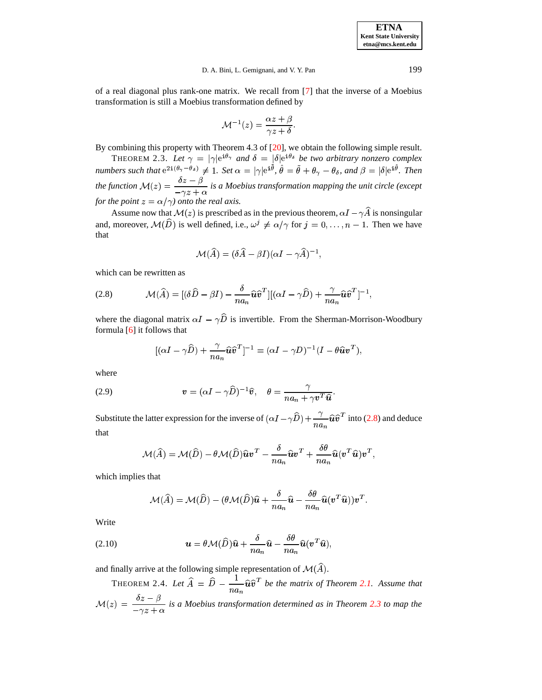**ETNA Kent State University etna@mcs.kent.edu**

### D. A. Bini, L. Gemignani, and V. Y. Pan 199

of a real diagonal plus rank-one matrix. We recall from [\[7\]](#page-8-16) that the inverse of a Moebius transformation is still a Moebius transformation defined by

$$
\mathcal{M}^{-1}(z)=\frac{\alpha z+\beta}{\gamma z+\delta}.
$$

<span id="page-4-1"></span>By combining this property with Theorem 4.3 of [\[20\]](#page-10-2), we obtain the following simple result.

THEOREM 2.3. Let  $\gamma = |\gamma|e^{i\theta_{\gamma}}$  and  $\delta = |\delta|e^{i\theta_{\delta}}$  be two arbitrary nonzero complex numbers such that  $e^{2i(\theta_\gamma - \theta_\delta)} \neq 1$ . Set  $\alpha = |\gamma|e^{i\tilde{\theta}}, \hat{\theta} = \tilde{\theta} + \theta_\gamma - \theta_\delta$ , and  $\beta = |\delta|e^{i\hat{\theta}}$ . Then  $^{\hat{\theta}}$ . Then the function  $\mathcal{M}(z) = \frac{\delta z - \beta}{\sigma}$  is a Moebi  $\frac{\partial z}{\partial x^2} + \frac{\partial z}{\partial y^2}$  *is a Moebius transformation mapping the unit circle (except for the point*  $z = \alpha/\gamma$ *) onto the real axis.* 

Assume now that  $\mathcal{M}(z)$  is prescribed as in the previous theorem,  $\alpha I - \gamma \widehat{A}$  is nonsingular and, moreover,  $\mathcal{M}(\hat{D})$  is well defined, i.e.,  $\omega^j \neq \alpha/\gamma$  for  $j = 0, \ldots, n-1$ . Then we have that

$$
\mathcal{M}(\widehat{A})=(\delta\widehat{A}-\beta I)(\alpha I-\gamma\widehat{A})^{-1},
$$

<span id="page-4-0"></span>which can be rewritten as

(2.8) 
$$
\mathcal{M}(\widehat{A}) = [(\delta \widehat{D} - \beta I) - \frac{\delta}{na_n} \widehat{\bm{u}} \widehat{\bm{v}}^T][(\alpha I - \gamma \widehat{D}) + \frac{\gamma}{na_n} \widehat{\bm{u}} \widehat{\bm{v}}^T]^{-1},
$$

where the diagonal matrix  $\alpha I - \gamma \widehat{D}$  is invertible. From the Sherman-Morrison-Woodbury formula  $[6]$  it follows that

$$
[(\alpha I - \gamma \widehat{D}) + \frac{\gamma}{na_n} \widehat{\bm{u}} \widehat{\bm{v}}^T]^{-1} = (\alpha I - \gamma D)^{-1} (I - \theta \widehat{\bm{u}} \bm{v}^T),
$$

<span id="page-4-2"></span>where

(2.9) 
$$
\mathbf{v} = (\alpha I - \gamma \widehat{D})^{-1} \widehat{\mathbf{v}}, \quad \theta = \frac{\gamma}{n a_n + \gamma \mathbf{v}^T \widehat{\mathbf{u}}}.
$$

Substitute the latter expression for the inverse of  $(\alpha I - \gamma \widehat{D}) + \frac{\gamma}{n a_n} \widehat{u} \widehat{v}^T$  into [\(2.8\)](#page-4-0) and deduce  $\cdots$ that

$$
\mathcal{M}(\widehat{A}) = \mathcal{M}(\widehat{D}) - \theta \mathcal{M}(\widehat{D}) \widehat{\bm{u}} \bm{v}^T - \frac{\delta}{n a_n} \widehat{\bm{u}} \bm{v}^T + \frac{\delta \theta}{n a_n} \widehat{\bm{u}} (\bm{v}^T \widehat{\bm{u}}) \bm{v}^T,
$$

which implies that

$$
\mathcal{M}(\widehat{A}) = \mathcal{M}(\widehat{D}) - (\theta \mathcal{M}(\widehat{D})\widehat{\boldsymbol{u}} + \frac{\delta}{n a_n} \widehat{\boldsymbol{u}} - \frac{\delta \theta}{n a_n} \widehat{\boldsymbol{u}}(\boldsymbol{v}^T \widehat{\boldsymbol{u}})) \boldsymbol{v}^T.
$$

<span id="page-4-3"></span>Write

(2.10) 
$$
\mathbf{u} = \theta \mathcal{M}(\widehat{D})\widehat{\mathbf{u}} + \frac{\delta}{na_n}\widehat{\mathbf{u}} - \frac{\delta \theta}{na_n}\widehat{\mathbf{u}}(\mathbf{v}^T \widehat{\mathbf{u}}),
$$

and finally arrive at the following simple representation of  $\mathcal{M}(\widehat{A})$ .

Theorem 2.4. Let  $\widehat{A} = \widehat{D} - \frac{1}{\cdots} \widehat{\bm{u}} \widehat{\bm{v}}^T$  be  $\frac{1}{n a_n} \hat{u} \hat{v}^T$  be the matrix of Theorem [2.1.](#page-2-2) Assume that  $\mathcal{M}(z) = \frac{\delta z - \beta}{\delta z}$  is a Moeb  $\frac{\partial z}{\partial x^2} + \frac{\partial z}{\partial y^2}$  *is a Moebius transformation determined as in Theorem [2.3](#page-4-1) to map the*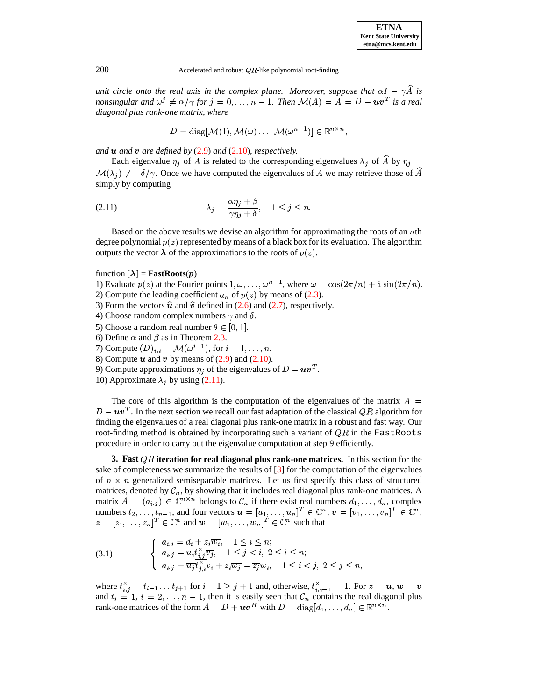200  $\triangle$  Accelerated and robust QR-like polynomial root-finding

*unit* circle onto the real axis in the complex plane. Moreover, suppose that  $\alpha I - \gamma \widehat{A}$  is nonsingular and  $\omega^j \neq \alpha/\gamma$  for  $j=0,\ldots,n-1.$  Then  $\mathcal{M}(A)=\overline{A}=D-\bm{u}\bm{v}^T$  is a real *diagonal plus rank-one matrix, where*

$$
D = \text{diag}[\mathcal{M}(1), \mathcal{M}(\omega) \dots, \mathcal{M}(\omega^{n-1})] \in \mathbb{R}^{n \times n},
$$

and  $\bf{u}$  and  $\bf{v}$  are defined by  $(2.9)$  and  $(2.10)$ *, respectively.* 

<span id="page-5-0"></span>Each eigenvalue  $\eta_j$  of A is related to the corresponding eigenvalues  $\lambda_j$  of  $\widehat{A}$  by  $\eta_j =$  $\mathcal{M}(\lambda_j) \neq -\delta/\gamma$ . Once we have computed the eigenvalues of A we may retrieve those of  $\widehat{A}$ simply by computing

(2.11) 
$$
\lambda_j = \frac{\alpha \eta_j + \beta}{\gamma \eta_j + \delta}, \quad 1 \le j \le n.
$$

Based on the above results we devise an algorithm for approximating the roots of an  $n$ th degree polynomial  $p(z)$  represented by means of a black box for its evaluation. The algorithm outputs the vector  $\lambda$  of the approximations to the roots of  $p(z)$ .

## function  $[\lambda]$  = **FastRoots** $(p)$

1) Evaluate  $p(z)$  at the Fourier points  $1, \omega, \ldots, \omega^{n-1}$ , where  $\omega = \cos(2\pi/n) + i \sin(2\pi/n)$ . 2) Compute the leading coefficient  $a_n$  of  $p(z)$  by means of [\(2.3\)](#page-2-3).

- 3) Form the vectors  $\hat{u}$  and  $\hat{v}$  defined in [\(2.6\)](#page-3-1) and [\(2.7\)](#page-3-2), respectively.
- 4) Choose random complex numbers  $\gamma$  and  $\delta$ .
- 5) Choose a random real number  $\theta \in [0, 1]$ .
- 6) Define  $\alpha$  and  $\beta$  as in Theorem [2.3.](#page-4-1)
- 7) Compute  $(D)_{i,i} = \mathcal{M}(\omega^{i-1})$ , for  $i = 1, \ldots, n$ .
- 8) Compute  $\boldsymbol{u}$  and  $\boldsymbol{v}$  by means of [\(2.9\)](#page-4-2) and [\(2.10\)](#page-4-3).
- 9) Compute approximations  $\eta_i$  of the eigenvalues of  $D uv^T$ .
- 10) Approximate  $\lambda_i$  by using [\(2.11\)](#page-5-0).

The core of this algorithm is the computation of the eigenvalues of the matrix  $A =$  $D - \boldsymbol{u} \boldsymbol{v}^T$ . In the next section we recall our fast adaptation of the classical QR algorithm for finding the eigenvalues of a real diagonal plus rank-one matrix in a robust and fast way. Our root-finding method is obtained by incorporating such a variant of  $QR$  in the FastRoots procedure in order to carry out the eigenvalue computation at step 9 efficiently.

**3.** Fast QR iteration for real diagonal plus rank-one matrices. In this section for the sake of completeness we summarize the results of [\[3\]](#page-8-11) for the computation of the eigenvalues of  $n \times n$  generalized semiseparable matrices. Let us first specify this class of structured matrices, denoted by  $\mathcal{C}_n$ , by showing that it includes real diagonal plus rank-one matrices. A matrix  $A = (a_{i,j}) \in \mathbb{C}^{n \times n}$  belongs to  $\mathcal{C}_n$  if there exist real numbers  $d_1, \ldots, d_n$ , complex numbers  $t_2, \ldots, t_{n-1}$ , and four vectors  $\mathbf{u} = [u_1, \ldots, u_n]^T \in \mathbb{C}^n$ ,  $\mathbf{v} = [v_1, \ldots, v_n]^T \in \mathbb{C}^n$ ,<br>  $\mathbf{z} = [z_1, \ldots, z_n]^T \in \mathbb{C}^n$  and  $\mathbf{w} = [w_1, \ldots, w_n]^T \in \mathbb{C}^n$  such that

<span id="page-5-1"></span>
$$
(3.1) \qquad \begin{cases} a_{i,i} = d_i + z_i \overline{w_i}, \quad 1 \leq i \leq n; \\ a_{i,j} = u_i t_{i,j}^{\times} \overline{v_j}, \quad 1 \leq j < i, \ 2 \leq i \leq n; \\ a_{i,j} = \overline{u_j t_{j,i}^{\times}} v_i + z_i \overline{w_j} - \overline{z_j} w_i, \quad 1 \leq i < j, \ 2 \leq j \leq n, \end{cases}
$$

where  $t_{i,j}^{\times} = t_{i-1} \ldots t_{j+1}$  for  $i-1 \geq j+1$  and, otherwise,  $t_{i,j-1}^{\times} = 1$ . For  $\boldsymbol{z} = \boldsymbol{u}, \boldsymbol{w} = \boldsymbol{v}$ and  $t_i = 1, i = 2, \ldots, n-1$ , then it is easily seen that  $\mathcal{C}_n$  contains the real diagonal plus rank-one matrices of the form  $A = D + uv^H$  with  $D = \text{diag}[d_1, \dots, d_n] \in \mathbb{R}^{n \times n}$ .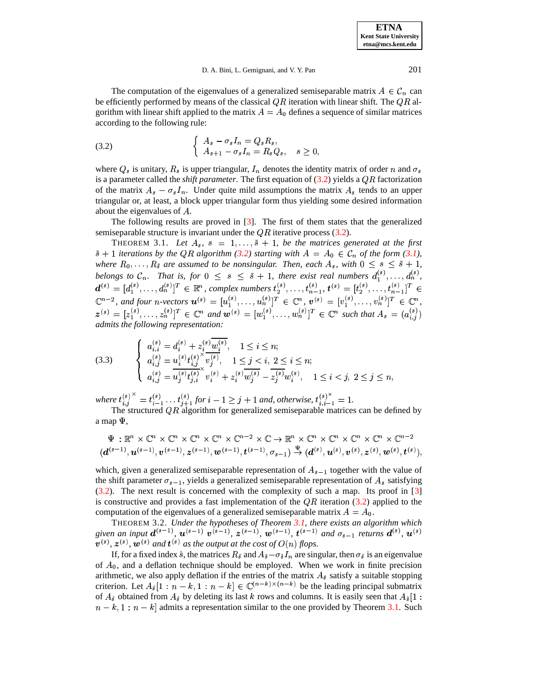**ETNA Kent State University etna@mcs.kent.edu**

#### D. A. Bini, L. Gemignani, and V. Y. Pan 201

<span id="page-6-0"></span>The computation of the eigenvalues of a generalized semiseparable matrix  $A \in \mathcal{C}_n$  can be efficiently performed by means of the classical  $QR$  iteration with linear shift. The  $QR$  algorithm with linear shift applied to the matrix  $A = A_0$  defines a sequence of similar matrices according to the following rule:

(3.2) 
$$
\begin{cases} A_s - \sigma_s I_n = Q_s R_s, \\ A_{s+1} - \sigma_s I_n = R_s Q_s, \quad s \ge 0, \end{cases}
$$

where  $Q_s$  is unitary,  $R_s$  is upper triangular,  $I_n$  denotes the identity matrix of order n and  $\sigma_s$ is a parameter called the *shift parameter*. The first equation of  $(3.2)$  yields a  $QR$  factorization of the matrix  $A_s - \sigma_s I_n$ . Under quite mild assumptions the matrix  $A_s$  tends to an upper triangular or, at least, a block upper triangular form thus yielding some desired information about the eigenvalues of A.

The following results are proved in [\[3\]](#page-8-11). The first of them states that the generalized semiseparable structure is invariant under the  $QR$  iterative process [\(3.2\)](#page-6-0).

<span id="page-6-1"></span>THEOREM 3.1. Let  $A_s$ ,  $s = 1, \ldots, \tilde{s} + 1$ , be the matrices generated at the first  $\tilde{s}$  + 1 iterations by the QR algorithm [\(3.2\)](#page-6-0) starting with  $A = A_0 \in \mathcal{C}_n$  of the form [\(3.1\)](#page-5-1), *where*  $R_0, \ldots, R_{\tilde{s}}$  are assumed to be nonsingular. Then, each  $A_s$ , with  $0 \leq s \leq \tilde{s} + 1$ , belongs to  $\mathcal{C}_n$ . That is, for  $0 \leq s \leq \tilde{s} + 1$ , there exist real numbers  $d_1^{(s)}, \ldots, d_n^{(s)}$ ,  $d^{(s)} = [d_1^{(s)}, \ldots, d_n^{(s)}]^T \in \mathbb{R}^n$ , complex numbers  $t_2^{(s)}, \ldots, t_{n-1}^{(s)}, t^{(s)} = [t_2^{(s)}, \ldots, t_{n-1}^{(s)}]^T \in$ - 70 1.1 1.1 1.1  $\mathbb{C}^{n-2}$ , and four *n*-vectors  $\mathbf{u}^{(s)} = [u_1^{(s)}, \dots, u_n^{(s)}]^T \in \mathbb{C}^n$ ,  $\mathbf{v}^{(s)} = [v_1^{(s)}, \dots, v_n^{(s)}]^T \in \mathbb{C}^n$ ,  $z^{(s)} = [z_1^{(s)}, \ldots, z_n^{(s)}]^T \in \mathbb{C}^n$  and  $w^{(s)} = [w_1^{(s)}, \ldots, w_n^{(s)}]^T \in \mathbb{C}^n$  such that  $A_s = (a_{i,j}^{(s)})$ *admits the following representation:*

<span id="page-6-2"></span>
$$
(3.3) \qquad \begin{cases} a_{i,i}^{(s)} = d_i^{(s)} + z_i^{(s)} \overline{w_i^{(s)}}, & 1 \le i \le n; \\ a_{i,j}^{(s)} = u_i^{(s)} t_{i,j}^{(s)} \overline{v_j^{(s)}}, & 1 \le j < i, 2 \le i \le n; \\ a_{i,j}^{(s)} = \overline{u_j^{(s)} t_{j,i}^{(s)}} \overline{v_i^{(s)}} + z_i^{(s)} \overline{w_j^{(s)}} - \overline{z_j^{(s)}} w_i^{(s)}, & 1 \le i < j, 2 \le j \le n, \end{cases}
$$

 $where t_{i,j}^{(s)}^{\times} = t_{i-1}^{(s)} \dots t_{j+1}^{(s)}$  for  $i-1 \geq j+1$  and, otherwise,  $t_{i,i-1}^{(s)\times} = 1$ .

The structured QR algorithm for generalized semiseparable matrices can be defined by a map  $\Psi$ ,

$$
\Psi: \mathbb{R}^n \times \mathbb{C}^n \times \mathbb{C}^n \times \mathbb{C}^n \times \mathbb{C}^n \times \mathbb{C}^n \times \mathbb{C}^{n-2} \times \mathbb{C} \to \mathbb{R}^n \times \mathbb{C}^n \times \mathbb{C}^n \times \mathbb{C}^n \times \mathbb{C}^n \times \mathbb{C}^{n-2} \times (d^{(s-1)}, \boldsymbol{u}^{(s-1)}, \boldsymbol{v}^{(s-1)}, \boldsymbol{z}^{(s-1)}, \boldsymbol{w}^{(s-1)}, \boldsymbol{t}^{(s-1)}, \sigma_{s-1}) \stackrel{\Psi}{\to} (\boldsymbol{d}^{(s)}, \boldsymbol{u}^{(s)}, \boldsymbol{v}^{(s)}, \boldsymbol{z}^{(s)}, \boldsymbol{w}^{(s)}, \boldsymbol{t}^{(s)}),
$$

which, given a generalized semiseparable representation of  $A_{s-1}$  together with the value of the shift parameter  $\sigma_{s-1}$ , yields a generalized semiseparable representation of  $A_s$  satisfying [\(3.2\)](#page-6-0). The next result is concerned with the complexity of such a map. Its proof in [\[3\]](#page-8-11) is constructive and provides a fast implementation of the  $QR$  iteration [\(3.2\)](#page-6-0) applied to the computation of the eigenvalues of a generalized semiseparable matrix  $A = A_0$ .

THEOREM 3.2. Under the hypotheses of Theorem [3.1,](#page-6-1) there exists an algorithm which<br>given an input  $d^{(s-1)}$ ,  $u^{(s-1)}$ ,  $v^{(s-1)}$ ,  $z^{(s-1)}$ ,  $w^{(s-1)}$ ,  $t^{(s-1)}$  and  $\sigma_{s-1}$  returns  $d^{(s)}$ ,  $u^{(s)}$  $\mathbf{v}^{(s)}$ ,  $\mathbf{z}^{(s)}$ ,  $\mathbf{w}^{(s)}$  and  $\mathbf{t}^{(s)}$  as the output at the cost of  $O(n)$  flops.

If, for a fixed index  $\hat{s}$ , the matrices  $R_{\hat{s}}$  and  $A_{\hat{s}} - \sigma_{\hat{s}} I_n$  are singular, then  $\sigma_{\hat{s}}$  is an eigenvalue of  $A_0$ , and a deflation technique should be employed. When we work in finite precision arithmetic, we also apply deflation if the entries of the matrix  $A_{\hat{s}}$  satisfy a suitable stopping criterion. Let  $A_{\hat{s}}[1:n-k,1:n-k] \in \mathbb{C}^{(n-k)\times (n-k)}$  be the leading principal submatrix of  $A_{\hat{s}}$  obtained from  $A_{\hat{s}}$  by deleting its last k rows and columns. It is easily seen that  $A_{\hat{s}}[1]$ :  $n - k$ ,  $1 : n - k$  admits a representation similar to the one provided by Theorem [3.1.](#page-6-1) Such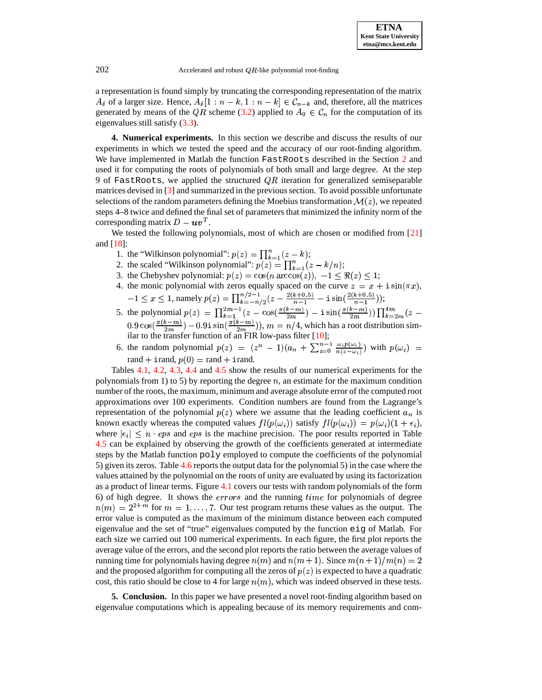$202$  Accelerated and robust  $QR$ -like polynomial root-finding

a representation is found simply by truncating the corresponding representation of the matrix  $A_{\hat{s}}$  of a larger size. Hence,  $A_{\hat{s}}[1:n-k,1:n-k] \in \mathcal{C}_{n-k}$  and, therefore, all the matrices generated by means of the  $QR$  scheme [\(3.2\)](#page-6-0) applied to  $A_0 \in C_n$  for the computation of its eigenvalues still satisfy [\(3.3\)](#page-6-2).

**4. Numerical experiments.** In this section we describe and discuss the results of our experiments in which we tested the speed and the accuracy of our root-finding algorithm. We have implemented in Matlab the function FastRoots described in the Section [2](#page-1-0) and used it for computing the roots of polynomials of both small and large degree. At the step 9 of FastRoots, we applied the structured  $QR$  iteration for generalized semiseparable matrices devised in [\[3\]](#page-8-11) and summarized in the previoussection. To avoid possible unfortunate selections of the random parameters defining the Moebius transformation  $\mathcal{M}(z)$ , we repeated steps 4–8 twice and defined the final set of parameters that minimized the infinity norm of the corresponding matrix  $D - uv^T$ .

We tested the following polynomials, most of which are chosen or modified from [\[21\]](#page-10-3) and [\[18\]](#page-10-0):

- 1. the "Wilkinson polynomial":  $p(z) = \prod_{k=1}^{n} (z k)$ ;
- 2. the scaled "Wilkinson polynomial":  $p(z) = \prod_{k=1}^{n} (z k/n);$
- 3. the Chebyshev polynomial:  $p(z) = \cos(n \arccos(z))$ ,  $-1 \leq \Re(z) \leq 1$ ;
- 4. the monic polynomial with zeros equally spaced on the curve  $z = x + i \sin(\pi x)$ ,  $= x + i \sin(\pi x),$  $-1 \leq x \leq 1$ , namely  $p(z) = \prod_{k=-n/2}^{n/2-1} (z - \frac{2(k+0.5)}{n-1} - i \sin(\frac{2(k+0.5)}{n-1}));$
- 5. the polynomial  $p(z) = \prod_{k=1}^{2m-1} (z \cos(\frac{\pi(k-m)}{2m}) i \sin(\frac{\pi(k)}{2m}))$  $\frac{1}{2m}$  $\left(\frac{1}{2m}\right)$   $\frac{1}{2} \sin(\frac{\pi(k-m)}{2m}))$   $\prod_{k=2m}^{2m} (z)$  $\left(\frac{k-m}{2m}\right))\prod_{k=2m}^{4m}(z 0.9 \cos(\frac{m_1 m_2}{2m_1}) - 0.91 \sin(\frac{m_1}{2m_1})$  $\frac{\binom{n-m}{2m}}{2m} - 0.91 \sin\left(\frac{\binom{n-m}{2m}}{2m}\right), m = n/4.$  $\frac{(m-1)(m-1)}{2m}$ ),  $m = n/4$ , which has a root distribution similar to the transfer function of an FIR low-pass filter [\[10\]](#page-8-1);
- 6. the random polynomial  $p(z) = (z^n 1)(a_n + \sum_{i=0}^{n-1} \frac{\omega_i p(\omega_i)}{n(z \omega_i)})$  with  $p(\omega_i) =$ rand  $+$  irand,  $p(0) =$  rand  $+$  irand.

Tables [4.1,](#page-8-17) [4.2,](#page-8-18) [4.3,](#page-9-0) [4.4](#page-9-1) and [4.5](#page-9-2) show the results of our numerical experiments for the polynomials from 1) to 5) by reporting the degree  $n$ , an estimate for the maximum condition number of the roots, the maximum, minimum and average absolute error of the computed root approximations over 100 experiments. Condition numbers are found from the Lagrange's representation of the polynomial  $p(z)$  where we assume that the leading coefficient  $a_n$  is known exactly whereas the computed values  $fl(p(\omega_i))$  satisfy  $fl(p(\omega_i)) = p(\omega_i)(1 + \epsilon_i)$ , where  $|\epsilon_i| \leq n$  · eps and eps is the machine precision. The poor results reported in Table [4.5](#page-9-2) can be explained by observing the growth of the coefficients generated at intermediate steps by the Matlab function poly employed to compute the coefficients of the polynomial 5) given its zeros. Table [4.6](#page-9-3) reports the output data for the polynomial 5) in the case where the values attained by the polynomial on the roots of unity are evaluated by using its factorization as a product of linear terms. Figure [4.1](#page-9-4) covers our tests with random polynomials of the form 6) of high degree. It shows the  $errors$  and the running time for polynomials of degree  $n(m) = 2^{2+m}$  for  $m = 1, \ldots, 7$ . Our test program returns these values as the output. The error value is computed as the maximum of the minimum distance between each computed eigenvalue and the set of "true" eigenvalues computed by the function eig of Matlab. For each size we carried out 100 numerical experiments. In each figure, the first plot reports the average value of the errors, and the second plot reports the ratio between the average values of running time for polynomials having degree  $n(m)$  and  $n(m+1)$ . Since  $m(n+1)/m(n) = 2$ and the proposed algorithm for computing all the zeros of  $p(z)$  is expected to have a quadratic cost, this ratio should be close to 4 for large  $n(m)$ , which was indeed observed in these tests.

**5. Conclusion.** In this paper we have presented a novel root-finding algorithm based on eigenvalue computations which is appealing because of its memory requirements and com-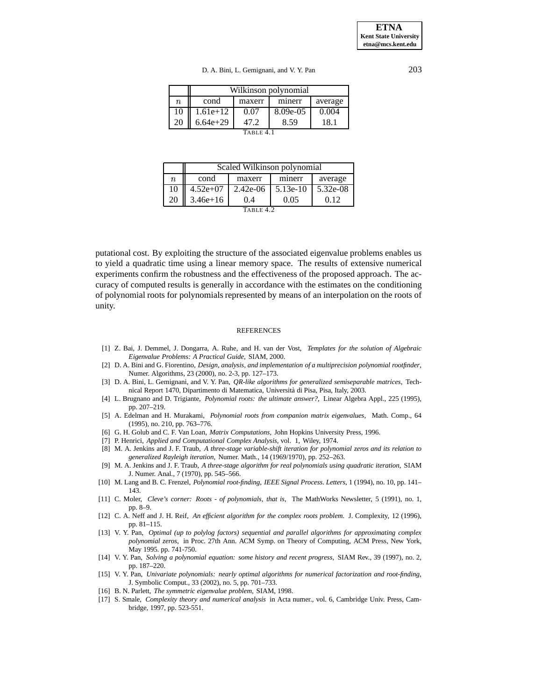| D. A. Bini, L. Gemignani, and V. Y. Pan | 203 |
|-----------------------------------------|-----|
|                                         |     |

|           | Wilkinson polynomial |        |          |         |  |  |
|-----------|----------------------|--------|----------|---------|--|--|
| n.        | cond                 | maxerr | minerr   | average |  |  |
| 10        | $1.61e+12$           | 0.07   | 8.09e-05 | 0.004   |  |  |
| 20        | $6.64e+29$           | 47.2   | 8.59     | 18.1    |  |  |
| TABLE 4.1 |                      |        |          |         |  |  |

<span id="page-8-17"></span>

|                  | Scaled Wilkinson polynomial |            |            |          |  |  |
|------------------|-----------------------------|------------|------------|----------|--|--|
| $\boldsymbol{n}$ | cond                        | maxerr     | minerr     | average  |  |  |
| 10               | $4.52e+07$                  | $2.42e-06$ | $5.13e-10$ | 5.32e-08 |  |  |
| 20               | $3.46e + 16$                | 0.4        | 0.05       | 0.12     |  |  |
|                  |                             |            |            |          |  |  |

<span id="page-8-18"></span>

putational cost. By exploiting the structure of the associated eigenvalue problems enables us to yield a quadratic time using a linear memory space. The results of extensive numerical experiments confirm the robustness and the effectiveness of the proposed approach. The accuracy of computed results is generally in accordance with the estimates on the conditioning of polynomial roots for polynomials represented by means of an interpolation on the roots of unity.

#### REFERENCES

- <span id="page-8-15"></span>[1] Z. Bai, J. Demmel, J. Dongarra, A. Ruhe, and H. van der Vost, *Templates for the solution of Algebraic Eigenvalue Problems: A Practical Guide*, SIAM, 2000.
- <span id="page-8-12"></span>[2] D. A. Bini and G. Fiorentino, *Design, analysis, and implementation of a multiprecision polynomial rootfinder*, Numer. Algorithms, 23 (2000), no. 2-3, pp. 127–173.
- <span id="page-8-11"></span>[3] D. A. Bini, L. Gemignani, and V. Y. Pan, *QR-like algorithms for generalized semiseparable matrices*, Technical Report 1470, Dipartimento di Matematica, Universita` di Pisa, Pisa, Italy, 2003.
- <span id="page-8-6"></span>[4] L. Brugnano and D. Trigiante, *Polynomial roots: the ultimate answer?*, Linear Algebra Appl., 225 (1995), pp. 207–219.
- <span id="page-8-4"></span>[5] A. Edelman and H. Murakami, *Polynomial roots from companion matrix eigenvalues*, Math. Comp., 64 (1995), no. 210, pp. 763–776.
- <span id="page-8-16"></span><span id="page-8-13"></span>[6] G. H. Golub and C. F. Van Loan, *Matrix Computations*, John Hopkins University Press, 1996.
- <span id="page-8-3"></span>[7] P. Henrici, *Applied and Computational Complex Analysis*, vol. 1, Wiley, 1974.
- [8] M. A. Jenkins and J. F. Traub, *A three-stage variable-shift iteration for polynomial zeros and its relation to generalized Rayleigh iteration*, Numer. Math., 14 (1969/1970), pp. 252–263.
- <span id="page-8-2"></span>[9] M. A. Jenkins and J. F. Traub, *A three-stage algorithm for real polynomials using quadratic iteration*, SIAM J. Numer. Anal., 7 (1970), pp. 545–566.
- <span id="page-8-1"></span>[10] M. Lang and B. C. Frenzel, *Polynomial root-finding*, *IEEE Signal Process. Letters*, 1 (1994), no. 10, pp. 141– 143.
- <span id="page-8-5"></span>[11] C. Moler, *Cleve's corner: Roots - of polynomials, that is*, The MathWorks Newsletter, 5 (1991), no. 1, pp. 8–9.
- <span id="page-8-7"></span>[12] C. A. Neff and J. H. Reif, *An efficient algorithm for the complex roots problem*. J. Complexity, 12 (1996), pp. 81–115.
- <span id="page-8-8"></span>[13] V. Y. Pan, *Optimal (up to polylog factors) sequential and parallel algorithms for approximating complex polynomial zeros*, in Proc. 27th Ann. ACM Symp. on Theory of Computing, ACM Press, New York, May 1995. pp. 741-750.
- <span id="page-8-0"></span>[14] V. Y. Pan, *Solving a polynomial equation: some history and recent progress,* SIAM Rev., 39 (1997), no. 2, pp. 187–220.
- <span id="page-8-9"></span>[15] V. Y. Pan, *Univariate polynomials: nearly optimal algorithms for numerical factorization and root-finding*, J. Symbolic Comput., 33 (2002), no. 5, pp. 701–733.
- <span id="page-8-14"></span><span id="page-8-10"></span>[16] B. N. Parlett, *The symmetric eigenvalue problem*, SIAM, 1998.
- [17] S. Smale, *Complexity theory and numerical analysis* in Acta numer., vol. 6, Cambridge Univ. Press, Cambridge, 1997, pp. 523-551.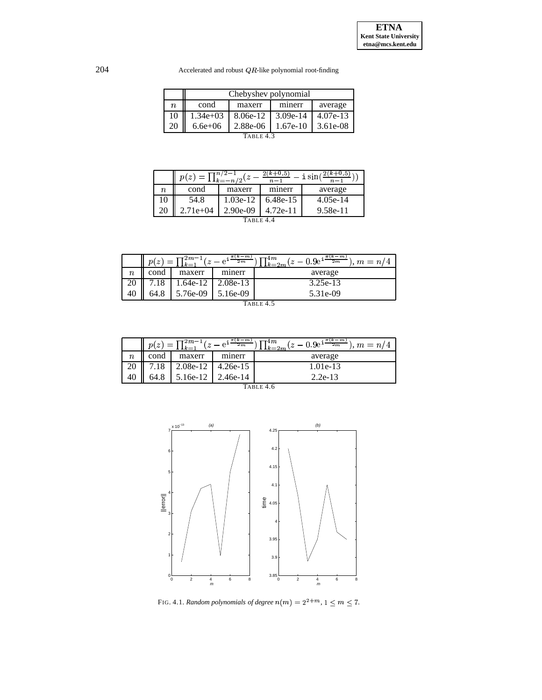$204$  Accelerated and robust  $QR$ -like polynomial root-finding

|                  | Chebyshev polynomial |            |            |            |  |  |
|------------------|----------------------|------------|------------|------------|--|--|
| $\boldsymbol{n}$ | cond                 | maxerr     | minerr     | average    |  |  |
| 10               | $1.34e+03$           | $8.06e-12$ | $3.09e-14$ | $4.07e-13$ |  |  |
| 20               | $6.6e + 06$          | $2.88e-06$ | $1.67e-10$ | 3.61e-08   |  |  |
| TABLE 43         |                      |            |            |            |  |  |

<span id="page-9-1"></span><span id="page-9-0"></span>

|          | p(z)     | $=\prod_{k=-n/2}^{n/2-1}$ | $k + 0.5$<br>$n-1$ | i sin      |  |  |
|----------|----------|---------------------------|--------------------|------------|--|--|
| $\it n$  | cond     | maxerr                    | minerr             | average    |  |  |
| 10       | 54.8     | $1.03e-12$                | $6.48e-15$         | $4.05e-14$ |  |  |
|          | 2.71e+04 | $2.90e-09$                | $4.72e-11$         | 9.58e-11   |  |  |
| TARLE 44 |          |                           |                    |            |  |  |

| $(k-m)$<br>$\pi(k-m)$<br>$7^{2m-1}$<br>4m<br>p(<br>$\boldsymbol{z}$<br>$m = n/4$<br>2m<br>$\rightarrow$<br>2m<br>$\cdot$ 1 $k$ $=$ 2 $m$ $^{\circ}$<br>$1k=1$ |      |           |            |          |  |  |
|---------------------------------------------------------------------------------------------------------------------------------------------------------------|------|-----------|------------|----------|--|--|
| $\it n$                                                                                                                                                       | cond | maxerr    | minerr     | average  |  |  |
| 20                                                                                                                                                            |      | $.64e-12$ | 2.08e-13   | 3.25e-13 |  |  |
| 40                                                                                                                                                            |      | 5.76e-09  | $5.16e-09$ | 5.31e-09 |  |  |
| $T_{\text{ADI}} = 4.5$                                                                                                                                        |      |           |            |          |  |  |

<span id="page-9-2"></span>

| ×<br>×<br>۰. |
|--------------|
|--------------|

| $\frac{\pi(k-m)}{2}$<br>$t \gamma = 0.9 e^{i \frac{\pi (k-m)}{2m}}$ ) m<br>$\mathbf{u}^{2m-1}$<br>$\tau$ 4 $m$<br>2m<br>p(z)<br>$m = n/4$<br>$=$<br>$1k=2m$<br>$-1k$ =' |                |          |            |           |
|-------------------------------------------------------------------------------------------------------------------------------------------------------------------------|----------------|----------|------------|-----------|
| $\boldsymbol{n}$                                                                                                                                                        | cond           | maxerr   | minerr     | average   |
|                                                                                                                                                                         | $^{\prime}.18$ | 2.08e-12 | $4.26e-15$ | 1.01e-13  |
| 40                                                                                                                                                                      | 64.8           | 5.16e-12 | $2.46e-14$ | $2.2e-13$ |

| Table 4.6 |  |  |
|-----------|--|--|
|-----------|--|--|

<span id="page-9-3"></span>

<span id="page-9-4"></span>FIG. 4.1. *Random polynomials of degree*  $n(m) = 2^{2+m}$ ,  $1 \le m \le 7$ .